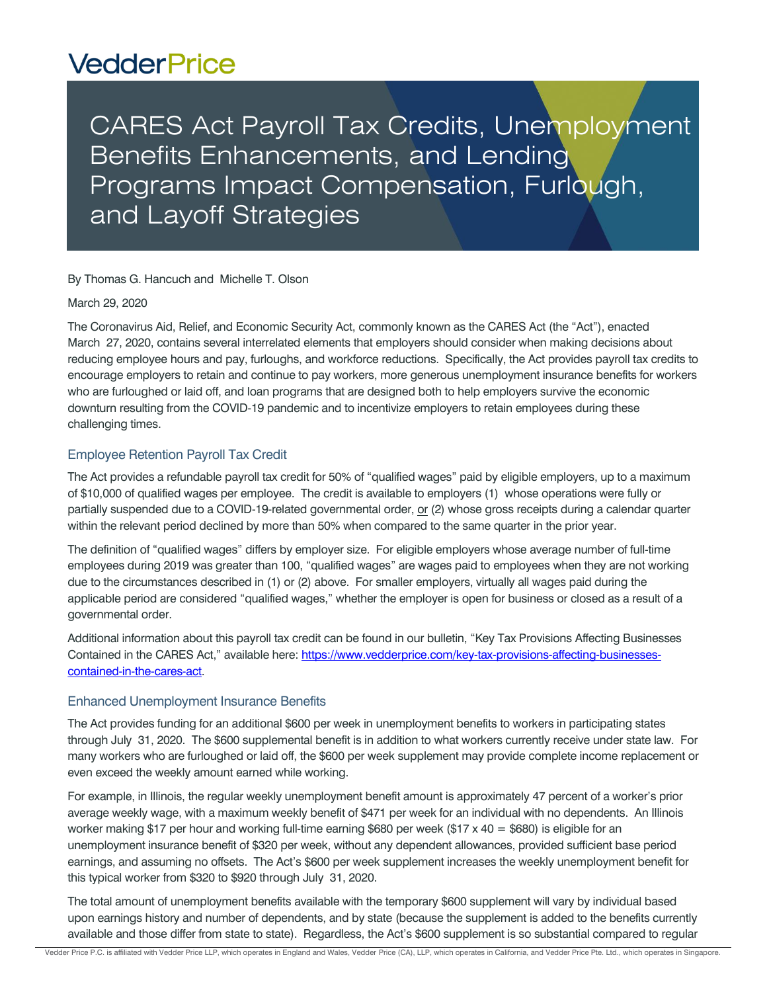# **VedderPrice**

CARES Act Payroll Tax Credits, Unemployment Benefits Enhancements, and Lending Programs Impact Compensation, Furlough, and Layoff Strategies

By Thomas G. Hancuch and Michelle T. Olson

March 29, 2020

The Coronavirus Aid, Relief, and Economic Security Act, commonly known as the CARES Act (the "Act"), enacted March 27, 2020, contains several interrelated elements that employers should consider when making decisions about reducing employee hours and pay, furloughs, and workforce reductions. Specifically, the Act provides payroll tax credits to encourage employers to retain and continue to pay workers, more generous unemployment insurance benefits for workers who are furloughed or laid off, and loan programs that are designed both to help employers survive the economic downturn resulting from the COVID-19 pandemic and to incentivize employers to retain employees during these challenging times.

## Employee Retention Payroll Tax Credit

The Act provides a refundable payroll tax credit for 50% of "qualified wages" paid by eligible employers, up to a maximum of \$10,000 of qualified wages per employee. The credit is available to employers (1) whose operations were fully or partially suspended due to a COVID-19-related governmental order, or (2) whose gross receipts during a calendar quarter within the relevant period declined by more than 50% when compared to the same quarter in the prior year.

The definition of "qualified wages" differs by employer size. For eligible employers whose average number of full-time employees during 2019 was greater than 100, "qualified wages" are wages paid to employees when they are not working due to the circumstances described in (1) or (2) above. For smaller employers, virtually all wages paid during the applicable period are considered "qualified wages," whether the employer is open for business or closed as a result of a governmental order.

Additional information about this payroll tax credit can be found in our bulletin, "Key Tax Provisions Affecting Businesses Contained in the CARES Act," available here: [https://www.vedderprice.com/key-tax-provisions-affecting-businesses](https://www.vedderprice.com/key-tax-provisions-affecting-businesses-contained-in-the-cares-act)[contained-in-the-cares-act.](https://www.vedderprice.com/key-tax-provisions-affecting-businesses-contained-in-the-cares-act)

#### Enhanced Unemployment Insurance Benefits

The Act provides funding for an additional \$600 per week in unemployment benefits to workers in participating states through July 31, 2020. The \$600 supplemental benefit is in addition to what workers currently receive under state law. For many workers who are furloughed or laid off, the \$600 per week supplement may provide complete income replacement or even exceed the weekly amount earned while working.

For example, in Illinois, the regular weekly unemployment benefit amount is approximately 47 percent of a worker's prior average weekly wage, with a maximum weekly benefit of \$471 per week for an individual with no dependents. An Illinois worker making \$17 per hour and working full-time earning \$680 per week (\$17 x 40 = \$680) is eligible for an unemployment insurance benefit of \$320 per week, without any dependent allowances, provided sufficient base period earnings, and assuming no offsets. The Act's \$600 per week supplement increases the weekly unemployment benefit for this typical worker from \$320 to \$920 through July 31, 2020.

The total amount of unemployment benefits available with the temporary \$600 supplement will vary by individual based upon earnings history and number of dependents, and by state (because the supplement is added to the benefits currently available and those differ from state to state). Regardless, the Act's \$600 supplement is so substantial compared to regular